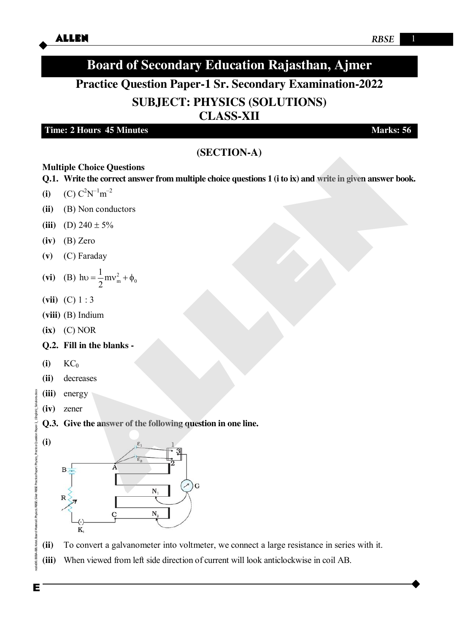# **Board of Secondary Education Rajasthan, Ajmer**

## **Practice Question Paper-1 Sr. Secondary Examination-2022**

## **SUBJECT: PHYSICS (SOLUTIONS)**

**CLASS-XII** 

#### **Time: 2 Hours 45 Minutes Marks: 56**

## **(SECTION-A)**

#### **Multiple Choice Questions**

**Q.1. Write the correct answer from multiple choice questions 1 (i to ix) and write in given answer book.**

- (i)  $(C) C^2 N^{-1} m^{-2}$
- **(ii)** (B) Non conductors
- (iii) (D)  $240 \pm 5\%$
- **(iv)** (B) Zero
- **(v)** (C) Faraday

**(vi)** (B) 
$$
hv = \frac{1}{2}mv_m^2 + \phi_0
$$

- **(vii)** (C) 1 : 3
- **(viii)** (B) Indium
- **(ix)** (C) NOR
- **Q.2. Fill in the blanks -**
- **(i)** KC<sup>0</sup>
- **(ii)** decreases
- **(iii)** energy
- **(iv)** zener
- **Q.3. Give the answer of the following question in one line.**
- **(i)**



- **(ii)** To convert a galvanometer into voltmeter, we connect a large resistance in series with it.
- **(iii)** When viewed from left side direction of current will look anticlockwise in coil AB.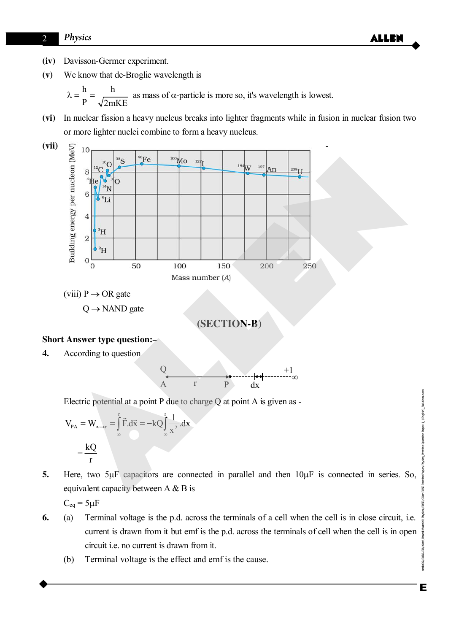## 2 *Physics* **ALLEN**

- **(iv)** Davisson-Germer experiment.
- **(v)** We know that de-Broglie wavelength is

h h P  $\sqrt{2mKE}$  $\lambda = \frac{\mu}{\lambda} = \frac{\mu}{\lambda}$  as mass of  $\alpha$ -particle is more so, it's wavelength is lowest.

**(vi)** In nuclear fission a heavy nucleus breaks into lighter fragments while in fusion in nuclear fusion two or more lighter nuclei combine to form a heavy nucleus.



(viii)  $P \rightarrow \text{OR gate}$ 

 $Q \rightarrow$  NAND gate



#### **Short Answer type question:–**

**4.** According to question



Electric potential at a point P due to charge  $Q$  at point A is given as -

$$
V_{PA} = W_{\infty \to r} = \int_{\infty}^{r} \vec{F} \cdot d\vec{x} = -kQ \int_{\infty}^{r} \frac{1}{x^{2}} \cdot dx
$$

$$
= \frac{kQ}{r}
$$

5. Here, two 5µF capacitors are connected in parallel and then  $10\mu$ F is connected in series. So, equivalent capacity between A & B is

 $C_{eq} = 5 \mu F$ 

- **6.** (a) Terminal voltage is the p.d. across the terminals of a cell when the cell is in close circuit, i.e. current is drawn from it but emf is the p.d. across the terminals of cell when the cell is in open circuit i.e. no current is drawn from it.
	- (b) Terminal voltage is the effect and emf is the cause.

lode06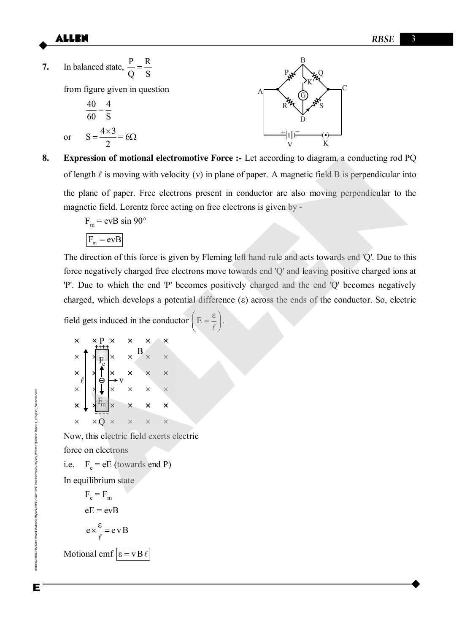$(\bm{\cdot})$ 

 $K'$ 

K

C



**8. Expression of motional electromotive Force :-** Let according to diagram, a conducting rod PQ of length  $\ell$  is moving with velocity (v) in plane of paper. A magnetic field B is perpendicular into

the plane of paper. Free electrons present in conductor are also moving perpendicular to the magnetic field. Lorentz force acting on free electrons is given by -

 $F_m$  = evB sin 90°

 $F_m = evB$ 

The direction of this force is given by Fleming left hand rule and acts towards end 'Q'. Due to this force negatively charged free electrons move towards end 'Q' and leaving positive charged ions at 'P'. Due to which the end 'P' becomes positively charged and the end 'Q' becomes negatively charged, which develops a potential difference  $(\varepsilon)$  across the ends of the conductor. So, electric **Expression of motional electromotive Force** :- Let according to diagram, a conducting rod if<br>of length  $\ell$  is moving with velocity (v) in plane of paper. A magnetic field B is perpendicular in<br>the plane of paper. Irree

field gets induced in the conductor  $\left( E = \frac{\varepsilon}{\ell} \right)$ .

| ×                   | $\times$ P $\times$<br>$^{+++}$ |                         | ×              | × | x |
|---------------------|---------------------------------|-------------------------|----------------|---|---|
| $\times$            |                                 |                         | $\overline{B}$ |   |   |
| $\mathbf{x}^{\top}$ |                                 |                         |                | × | × |
| $x^{\sim}$          |                                 |                         | ×              | × |   |
| $\times$            | $F_m$                           | $\overline{\mathsf{x}}$ |                | × |   |
| ×                   |                                 | $\times$                |                |   |   |

Now, this electric field exerts electric

force on electrons

i.e.  $F_e = eE$  (towards end P)

In equilibrium state

 $F_e = F_m$  $eE = evB$  $e \times \frac{\varepsilon}{e} = e v B$  $\ell$ Motional emf  $\varepsilon = vB\ell$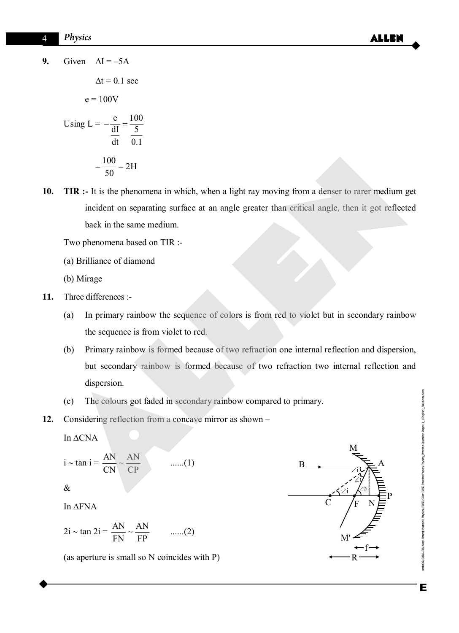**9.** Given  $\Delta I = -5A$ 

$$
\Delta t = 0.1 \text{ sec}
$$
  
e = 100V  
Using L =  $-\frac{e}{\frac{dI}{dt}} = \frac{100}{\frac{5}{0.1}}$   
=  $\frac{100}{50} = 2H$ 

**10.** TIR :- It is the phenomena in which, when a light ray moving from a denser to rarer medium get incident on separating surface at an angle greater than critical angle, then it got reflected back in the same medium. =  $\frac{100}{50}$  = 2H<br>
TIR :- It is the phenomena in which, when a light ray moving from a denser to rarer medium incident on separating surface at an angle greater than critical angle, then it got reflect<br>
back in the sa

Two phenomena based on TIR :-

(a) Brilliance of diamond

(b) Mirage

- **11.** Three differences :-
	- (a) In primary rainbow the sequence of colors is from red to violet but in secondary rainbow the sequence is from violet to red.
	- (b) Primary rainbow is formed because of two refraction one internal reflection and dispersion, but secondary rainbow is formed because of two refraction two internal reflection and dispersion.
	- (c) The colours got faded in secondary rainbow compared to primary.
- **12.** Considering reflection from a concave mirror as shown –

In  $\triangle CNA$ 

$$
i \sim \tan i = \frac{AN}{CN} \sim \frac{AN}{CP} \qquad \qquad \dots (1)
$$

$$
\pmb{\&}
$$

In  $\triangle$ FNA

$$
2i \sim \tan 2i = \frac{AN}{FN} \sim \frac{AN}{FP} \qquad \qquad \dots (2)
$$

(as aperture is small so N coincides with P)



Practice Paper\Physics\_Practice Question Paper-1\_ (English)\_Solutions.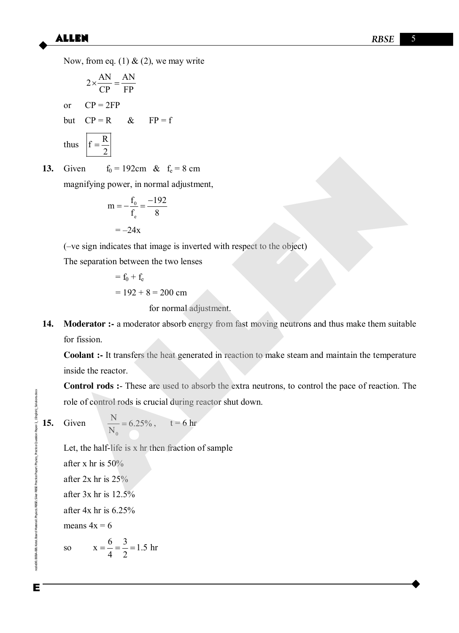Now, from eq. (1)  $\&$  (2), we may write

$$
2 \times \frac{AN}{CP} = \frac{AN}{FP}
$$
  
or CP = 2FP  
but CP = R & FP = f  
thus 
$$
f = \frac{R}{2}
$$

**13.** Given  $f_0 = 192$ cm &  $f_e = 8$  cm

magnifying power, in normal adjustment,

$$
m = -\frac{f_0}{f_e} = \frac{-192}{8}
$$

$$
= -24x
$$

(–ve sign indicates that image is inverted with respect to the object)

The separation between the two lenses

$$
= f_0 + f_e
$$
  
= 192 + 8 = 200 cm  
for normal adjustment.

**14. Moderator :-** a moderator absorb energy from fast moving neutrons and thus make them suitable for fission. Civen  $\frac{E}{E_0} = 192 \text{cm}$  &  $E_0 = 8 \text{ cm}$ <br>
magnifying power, in normal adjustment,<br>  $m = -\frac{E_0}{F_s} = \frac{-192}{8}$ <br>  $= -24x$ <br>  $(-ve \text{ sign indicates that image is inverted with respect to the object})$ <br>
The separation between the two lenses<br>  $= E_0 + E_6$ <br>  $= 192 + 8 = 200 \text{ cm}$ <br>
for n

**Coolant :-** It transfers the heat generated in reaction to make steam and maintain the temperature inside the reactor.

**Control rods :**- These are used to absorb the extra neutrons, to control the pace of reaction. The role of control rods is crucial during reactor shut down.

$$
15.
$$

Dueston Paper 1 (English) Solutions doc

**15.** Given

$$
\frac{N}{N_0} = 6.25\%, \qquad t = 6 \text{ hr}
$$

Let, the half-life is x hr then fraction of sample

after x hr is 50% after 2x hr is 25% after 3x hr is 12.5% after 4x hr is 6.25% means  $4x = 6$ so  $x = \frac{6}{1} = \frac{3}{2} = 1.5$  hr 4 2  $=$ 

Enode06\B0BA-BB\Kota\Board Material\Physics\RBSE\Siker RBSE Practice Paper\Physics\_Practice Question Paper-1\_ (English)\_Solutions.docx Е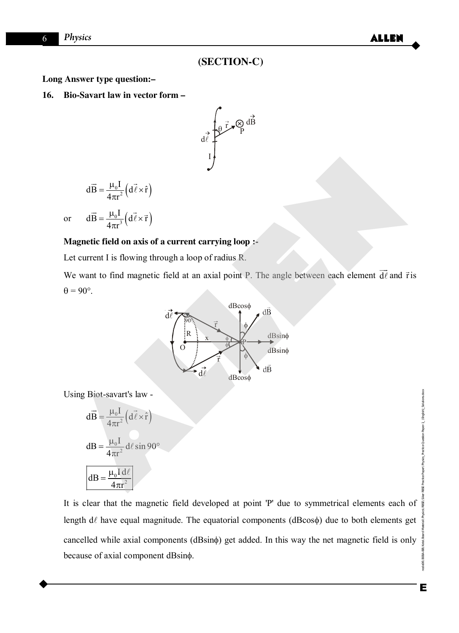### **(SECTION-C)**

**Long Answer type question:–** 

**16. Bio-Savart law in vector form –** 



$$
d\vec{B} = \frac{\mu_0 I}{4\pi r^2} \left( d\vec{\ell} \times \hat{r} \right)
$$

or  $dB = \frac{\mu_0 I}{4\pi r^3} \left( d\ell \times \vec{r} \right)$ 3  $d\vec{B} = \frac{\mu_0 I}{I} \left( d\vec{\ell} \times \vec{r} \right)$  $4\pi r$  $=\frac{\mu_0 I}{\mu_0^2} (d\vec{l} \times$  $\pi$  $\vec{B} = \frac{\mu_0 I}{4\pi r^3} \left( d\vec{\ell} \times \vec{r} \right)$ 

#### **Magnetic field on axis of a current carrying loop :-**

Let current I is flowing through a loop of radius R.

We want to find magnetic field at an axial point P. The angle between each element d  $\overline{\phantom{a}}$  $\vec{\ell}$  and  $\vec{r}$  is  $\theta = 90^\circ$ .



Using Biot-savart's law -

$$
d\vec{B} = \frac{\mu_0 I}{4\pi r^2} (d\vec{\ell} \times \hat{r})
$$

$$
dB = \frac{\mu_0 I}{4\pi r^2} d\ell \sin 90^\circ
$$

$$
dB = \frac{\mu_0 I d\ell}{4\pi r^2}
$$

It is clear that the magnetic field developed at point 'P' due to symmetrical elements each of length  $d\ell$  have equal magnitude. The equatorial components (dBcos $\phi$ ) due to both elements get cancelled while axial components (dBsin $\phi$ ) get added. In this way the net magnetic field is only because of axial component dBsin $\phi$ .

Enode06\B0BA-BB\Kota\Board Material\Physics\RBSE\Siker RBSE Practice Paper\Physics\_Practice Question Paper-1\_ (English)\_Solutions.docx Е

node06\

aper\Physics\_Practice Question Paper-1\_ (English)\_Solutions.docx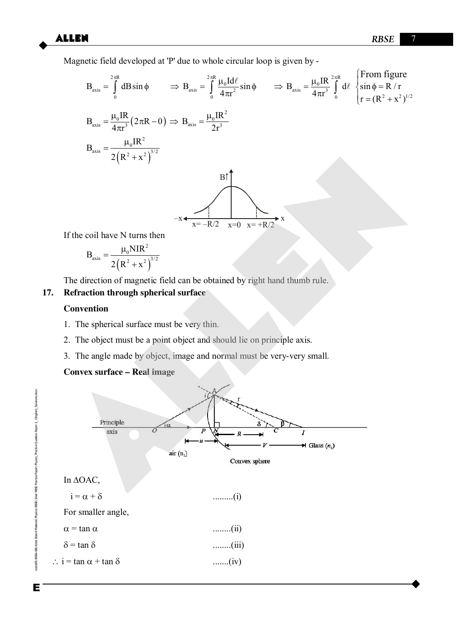Magnetic field developed at 'P' due to whole circular loop is given by -

$$
B_{axis} = \int_{0}^{2\pi R} dB \sin \phi \qquad \Rightarrow B_{axis} = \int_{0}^{2\pi R} \frac{\mu_{0} Id\ell}{4\pi r^{2}} \sin \phi \qquad \Rightarrow B_{axis} = \frac{\mu_{0} IR}{4\pi r^{3}} \int_{0}^{2\pi R} d\ell \begin{cases} \text{From figure} \\ \sin \phi = R/r \\ r = (R^{2} + x^{2})^{1/2} \end{cases}
$$

$$
B_{axis} = \frac{\mu_{0} IR}{2(R^{2} + x^{2})^{3/2}}
$$

$$
B_{axis} = \frac{\mu_{0} IR^{2}}{2(R^{2} + x^{2})^{3/2}}
$$

$$
B_{axis} = \frac{Bf}{2R^{2} + x^{2}} \int_{0}^{3\pi} d\ell \begin{cases} \sin \phi = R/r \\ r = (R^{2} + x^{2})^{1/2} \end{cases}
$$

If the coil have N turns then

$$
B_{axis} = \frac{\mu_0 NIR^2}{2(R^2 + x^2)^{3/2}}
$$

The direction of magnetic field can be obtained by right hand thumb rule.

## **17. Refraction through spherical surface**

#### **Convention**

- 1. The spherical surface must be very thin.
- 2. The object must be a point object and should lie on principle axis.
- 3. The angle made by object, image and normal must be very-very small.

#### **Convex surface – Real image**



**Cueston Paper-1\_(English)\_Solutions.docx** 

aner\Physics Practice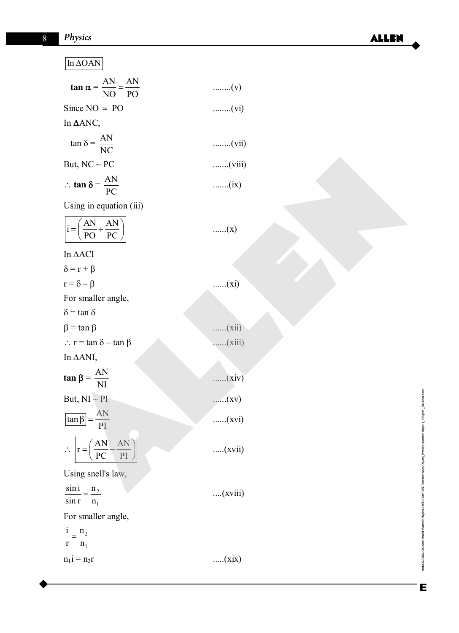#### In  $\triangle$ OAN

| $\tan \alpha = \frac{AN}{NO} = \frac{AN}{PO}$ | $\ldots$ $\ldots$ $\ldots$ $\ldots$ $\ldots$ $\vdots$ |
|-----------------------------------------------|-------------------------------------------------------|
| Since $NO \approx PO$                         | $\ldots$ $(vi)$                                       |
| In $\triangle$ ANC,                           |                                                       |
| $\tan \delta = \frac{AN}{NC}$                 | $\ldots$ (vii)                                        |
| But, $NC \sim PC$                             | (viii)                                                |

| AN<br>$\therefore$ tan $\delta = \frac{AN}{A}$ |      |
|------------------------------------------------|------|
|                                                | (ix) |

| But, $NC \sim PC$                                | (viii)  |
|--------------------------------------------------|---------|
| : $\tan \delta = \frac{AN}{PC}$                  | (ix)    |
| Using in equation (iii)                          |         |
| $i = \left(\frac{AN}{PO} + \frac{AN}{PC}\right)$ | (x)     |
| In ΔACI                                          |         |
| $\delta = r + \beta$                             |         |
| $r = \delta - \beta$                             | (xi)    |
| For smaller angle,                               |         |
| $\delta$ = tan $\delta$                          |         |
| $\beta$ = tan $\beta$                            | (xii)   |
| $\therefore$ r = tan $\delta$ - tan $\beta$      | (xiii)  |
| In ΔANI,                                         |         |
| $\tan \beta = \frac{AN}{NI}$                     | (xiv)   |
| But, $NI \sim PI$                                | (xv)    |
| $\tan \beta = \frac{AN}{PI}$                     | (xvi)   |
| AN<br>$\frac{AN}{A}$<br>$\overline{PC}$<br>PI    | (xvii)  |
| Using snell's law,                               |         |
| $\sin i$<br>n <sub>2</sub>                       | (xviii) |

| $\delta = r + \beta$ |  |
|----------------------|--|
|                      |  |

 $r = \delta -$ For smaller angle,

$$
\therefore \mathbf{r} = \left(\frac{\mathbf{AN}}{\mathbf{PC}} - \frac{\mathbf{AN}}{\mathbf{PI}}\right) \qquad \qquad \dots \text{(xvii)}
$$

 $\frac{2}{1}$  $\frac{\sin i}{\sin r} = \frac{n_2}{n_1}$  ....(xviii)

For smaller angle,

 $\frac{i}{r} = \frac{n_2}{n_1}$  $n_1$ i =  $....(xix)$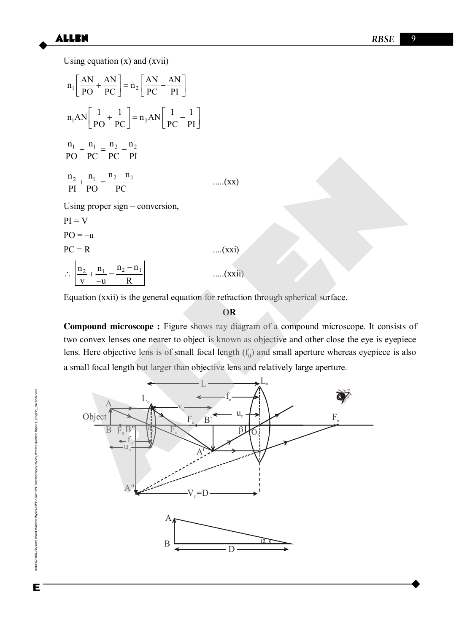Using equation  $(x)$  and  $(xvii)$ 

$$
n_1 \left[ \frac{AN}{PO} + \frac{AN}{PC} \right] = n_2 \left[ \frac{AN}{PC} - \frac{AN}{PI} \right]
$$
  
\n
$$
n_1 AN \left[ \frac{1}{PO} + \frac{1}{PC} \right] = n_2 AN \left[ \frac{1}{PC} - \frac{1}{PI} \right]
$$
  
\n
$$
\frac{n_1}{PO} + \frac{n_1}{PC} = \frac{n_2}{PC} - \frac{n_2}{PI}
$$
  
\n
$$
\frac{n_2}{PI} + \frac{n_1}{PO} = \frac{n_2 - n_1}{PC}
$$
 ....(xx)  
\nUsing proper sign – conversion,  
\n
$$
PI = V
$$
  
\n
$$
PO = -u
$$
 ....(xxi)

 $\therefore$   $\frac{\ln_2}{1} + \frac{n_1}{n_1} = \frac{n_2 - n_1}{n_1}$  $v -u$  R - $+\frac{11}{1}= \overline{a}$ .....(xxii)

Equation (xxii) is the general equation for refraction through spherical surface.

#### **OR**

**Compound microscope :** Figure shows ray diagram of a compound microscope. It consists of two convex lenses one nearer to object is known as objective and other close the eye is eyepiece lens. Here objective lens is of small focal length  $(f_0)$  and small aperture whereas eyepiece is also a small focal length but larger than objective lens and relatively large aperture.



Enode06\B0BA-BB\Kota\Board Material\Physics\RBSE\Siker RBSE Practice Paper\Physics\_Practice Question Paper-1\_ (English)\_Solutions.docx Е

Cuestion Paper-1\_ (English)\_Solutions.docx

aner\Physics Practice

Practice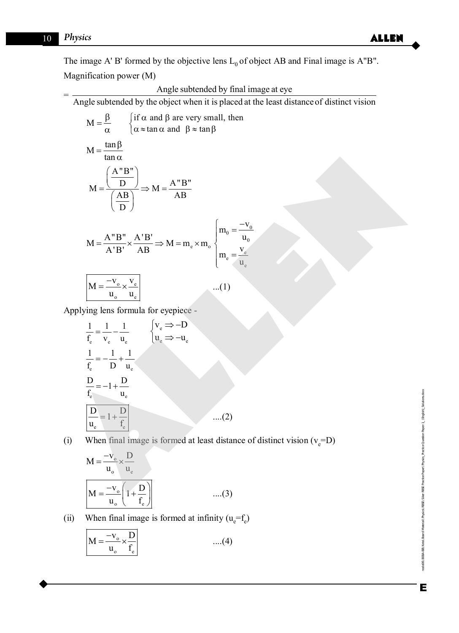=

The image A' B' formed by the objective lens  $L_0$  of object AB and Final image is A"B". Magnification power (M)

Angle subtended by final image at eye

then

 $V_0$ 

 $\mathbf{u}_0$ 

Angle subtended by the object when it is placed at the least distanceof distinct vision

$$
M = \frac{\beta}{\alpha} \qquad \begin{cases} \text{if } \alpha \text{ and } \beta \text{ are very small,} \\ \alpha \approx \tan \alpha \text{ and } \beta \approx \tan \beta \end{cases}
$$

$$
M = \frac{\left(\frac{A^{H}B^{H}}{D}\right)}{\left(\frac{AB}{D}\right)} \Rightarrow M = \frac{A^{H}B^{H}}{AB}
$$

$$
M = \frac{A''B''}{A'B'} \times \frac{A'B'}{AB} \Rightarrow M = m_e \times m_o \begin{cases} m_0 = \frac{-v}{u} \\ m_e = \frac{v_e}{u_e} \end{cases}
$$

$$
M = \frac{-v_{o}}{u_{o}} \times \frac{v_{e}}{u_{e}}
$$
...(1)

Applying lens formula for eyepiece -

$$
M = \frac{\left(\frac{A^{n}B^{n}}{D}\right)}{\left(\frac{AB}{D}\right)} \Rightarrow M = \frac{A^{n}B^{n}}{AB}
$$
  
\n
$$
M = \frac{A^{n}B^{n}}{A^{n}B^{n}} \times \frac{A^{n}B^{n}}{AB} \Rightarrow M = m_{e} \times m_{o} \begin{cases} m_{o} = \frac{-v_{o}}{u_{o}} \\ m_{e} = \frac{v_{e}}{u_{o}} \\ m_{e} = \frac{v_{e}}{u_{e}} \end{cases}
$$
  
\nApplying lens formula for eyepiece -  
\n
$$
\frac{1}{f_{e}} = \frac{1}{v_{e}} - \frac{1}{u_{e}} \qquad \begin{cases} v_{e} \Rightarrow -D \\ u_{e} \Rightarrow -u_{e} \end{cases}
$$
  
\n
$$
\frac{1}{f_{e}} = -1 + \frac{D}{u_{e}}
$$
  
\n
$$
\frac{D}{f_{e}} = -1 + \frac{D}{u_{e}}
$$
  
\n
$$
\frac{D}{u_{o}} = 1 + \frac{D}{f_{e}}
$$
  
\n(i) When final image is formed at least distance of distinct vision (v<sub>e</sub>=D)  
\n
$$
M = \frac{-v_{o}}{u_{o}} \times \frac{D}{u_{e}}
$$
  
\n
$$
\frac{M - \frac{-v_{o}}{u_{o}} \left(1 + \frac{D}{u_{e}}\right)}{\left(\frac{M - \frac{-v_{o}}{u_{e}} \left(1 + \frac{D}{u_{e}}\right)}{u_{e}}\right)}
$$
 (3)

(i) When final image is formed at least distance of distinct vision  $(v_e=D)$ 

$$
M = \frac{-v_{o}}{u_{o}} \times \frac{D}{u_{e}}
$$
  

$$
M = \frac{-v_{o}}{u_{o}} \left(1 + \frac{D}{f_{e}}\right)
$$
 ....(3)

(ii) When final image is formed at infinity  $(u_e = f_e)$ 

$$
M = \frac{-v_o}{u_o} \times \frac{D}{f_e}
$$
 ....(4)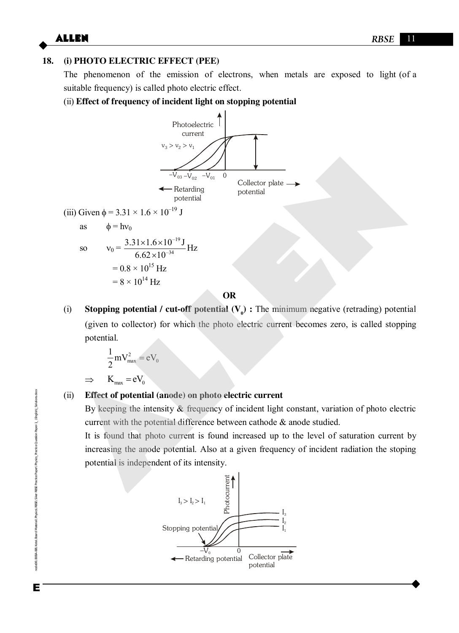#### **18. (i) PHOTO ELECTRIC EFFECT (PEE)**

The phenomenon of the emission of electrons, when metals are exposed to light (of a suitable frequency) is called photo electric effect.

#### (ii) **Effect of frequency of incident light on stopping potential**



**OR** 

(i) **Stopping potential / cut-off potential**  $(V_0)$ **: The minimum negative (retrading) potential** (given to collector) for which the photo electric current becomes zero, is called stopping potential.

$$
\frac{1}{2}mV_{\text{max}}^2 = eV_0
$$
  
\n
$$
\Rightarrow \quad K_{\text{max}} = eV_0
$$

#### (ii) **Effect of potential (anode) on photo electric current**

By keeping the intensity  $\&$  frequency of incident light constant, variation of photo electric current with the potential difference between cathode & anode studied.

 It is found that photo current is found increased up to the level of saturation current by increasing the anode potential. Also at a given frequency of incident radiation the stoping potential is independent of its intensity.

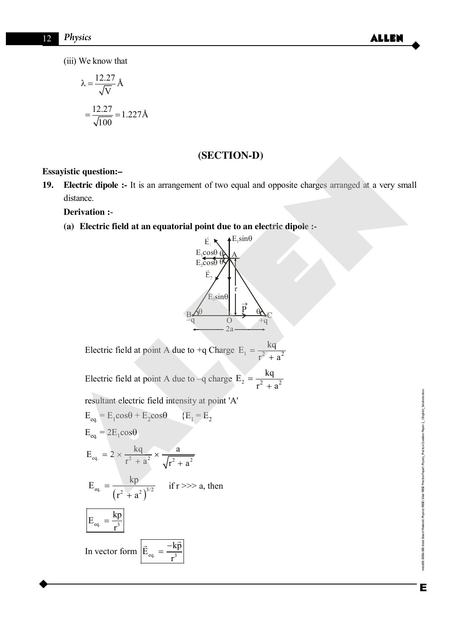(iii) We know that

$$
\lambda = \frac{12.27}{\sqrt{V}} \text{\AA}
$$

$$
= \frac{12.27}{\sqrt{100}} = 1.227 \text{\AA}
$$

## **(SECTION-D)**

#### **Essayistic question:–**

**19. Electric dipole :-** It is an arrangement of two equal and opposite charges arranged at a very small distance.

#### **Derivation :**-

**(a) Electric field at an equatorial point due to an electric dipole :-** 



Electric field at point A due to +q Charge  $E_1 = \frac{kq}{r^2 + r^2}$  $r^2 + a$  $=$  $\ddot{}$ 

Electric field at point A due to –q charge  $E_2 = \frac{kq}{r^2 + r^2}$  $r^2 + a$  $=$  $^{+}$ 

resultant electric field intensity at point 'A'

**Essayistic question:**

\n**19. Electric dipole :** It is an arrangement of two equal and opposite charges arranged at a very sm distance.

\n**Derivation :**

\n(a) Electric field at an equatorial point due to an electric dipole:

\n
$$
E_{\text{cross}} = \frac{E_{\text{cross}} - E_{\text{cross}}}{E_{\text{cross}}}
$$
\n
$$
E_{\text{cross}} = \frac{E_{\text{cross}} - E_{\text{cross}}}{E_{\text{cross}}}
$$
\nElectric field at point A due to +q Charge

\n
$$
E_{\text{cross}} = \frac{kq}{r^2 + a^2}
$$
\nElectric field at point A due to -q charge

\n
$$
E_2 = \frac{kq}{r^2 + a^2}
$$
\nresultant electric field intensity at point 'A'

\n
$$
E_{\text{eq}} = E_1 \cos\theta + E_2 \cos\theta \qquad (E_1 = E_2)
$$
\n
$$
E_{\text{eq}} = 2E_1 \cos\theta
$$
\n
$$
E_{\text{eq}} = 2 \times \frac{kq}{r^2 + a^2} \times \frac{a}{\sqrt{r^2 + a^2}}
$$
\n
$$
E_{\text{eq}} = \frac{kq}{(r^2 + a^2)^{3/2}} \quad \text{if } r \gggt; a, \text{ then}
$$
\n
$$
E_{\text{eq}} = \frac{kq}{r^3}
$$
\nIn vector form

\n
$$
\frac{E_{\text{eq}} - \frac{k\overline{p}}{r^3}}{E_{\text{eq}} - \frac{-k\overline{p}}{r^3}}
$$

Enode06\B0BA-BB\Kota\Board Material\Physics\RBSE\Siker RBSE Practice Paper\Physics\_Practice Question Paper-1\_ (English)\_Solutions.docx BB V. da 1 Board Malerial VPhysis N.BSSE XSiker Pactice Paper VPhysiss\_Practice Cluestion Paper-1\_(English\_Solutions.docx node06\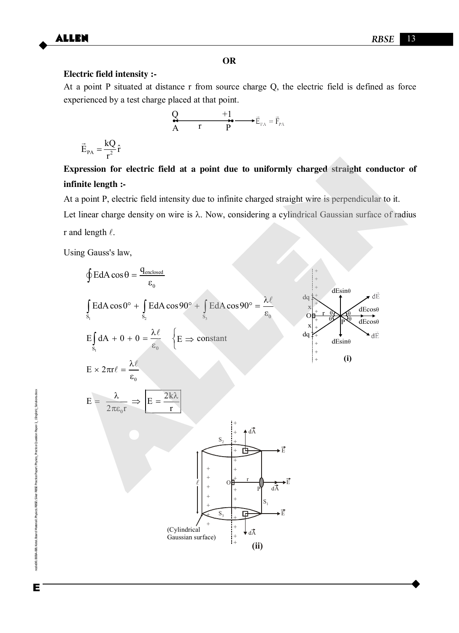#### **OR**

#### **Electric field intensity :-**

At a point P situated at distance r from source charge Q, the electric field is defined as force experienced by a test charge placed at that point.

$$
\mathbf{Q} \qquad \qquad +\mathbf{1} \qquad \qquad +\mathbf{E}_{\mathbf{P}\mathbf{A}} = \vec{\mathbf{F}}_{\mathbf{P}\mathbf{A}}
$$

$$
\vec{E}_{PA} = \frac{kQ}{r^2}\hat{r}
$$

## **Expression for electric field at a point due to uniformly charged straight conductor of infinite length :-**

At a point P, electric field intensity due to infinite charged straight wire is perpendicular to it.

Let linear charge density on wire is  $\lambda$ . Now, considering a cylindrical Gaussian surface of radius r and length  $\ell$ .

Using Gauss's law,

**Expression for electric field at a point due to uniformly charged straight conductor infinite length :**  
\nAt a point P, electric field intensity due to infinite charged straight wire is perpendicular to it.  
\nLet linear charge density on wire is 
$$
\lambda
$$
. Now, considering a cylindrical Gaussian surface of radii  
\nr and length  $\ell$ .  
\nUsing Gauss's law,  
\n
$$
\oint E dA \cos \theta = \frac{q_{\text{mulsed}}}{\epsilon_0}
$$
\n
$$
\oint \text{E} dA \cos \theta = \frac{q_{\text{mulsed}}}{\epsilon_0}
$$
\n
$$
\oint \text{E} dA \cos \theta = \frac{q_{\text{mulsed}}}{\epsilon_0}
$$
\n
$$
E \oint \text{d}A + 0 + 0 = \frac{\lambda \ell}{\epsilon_0}
$$
\n
$$
\oint \text{E} \Rightarrow \text{constant}
$$
\n
$$
E \times 2\pi r \ell = \frac{\lambda \ell}{\epsilon_0}
$$
\n
$$
E = \frac{\lambda}{2\pi \epsilon_0 r} \Rightarrow E = \frac{2k\lambda}{r}
$$
\n
$$
\oint \text{E} \Rightarrow \text{constant}
$$
\n
$$
\oint \text{B} \Rightarrow \text{B} \Rightarrow \text{B} \Rightarrow \text{C} \Rightarrow \text{C} \Rightarrow \text{C} \Rightarrow \text{C} \Rightarrow \text{C} \Rightarrow \text{C} \Rightarrow \text{C} \Rightarrow \text{C} \Rightarrow \text{C} \Rightarrow \text{C} \Rightarrow \text{C} \Rightarrow \text{C} \Rightarrow \text{C} \Rightarrow \text{C} \Rightarrow \text{C} \Rightarrow \text{C} \Rightarrow \text{C} \Rightarrow \text{C} \Rightarrow \text{C} \Rightarrow \text{C} \Rightarrow \text{C} \Rightarrow \text{C} \Rightarrow \text{C} \Rightarrow \text{C} \Rightarrow \text{C} \Rightarrow \text{C} \Rightarrow \text{C} \Rightarrow \text{C} \Rightarrow \text{C} \Rightarrow \text{C} \Rightarrow \text{C} \Rightarrow \text{C} \Rightarrow \text{C} \Rightarrow \text{C} \Rightarrow \text{C} \Rightarrow \text{C} \Rightarrow \text{C} \Rightarrow \text{C} \Rightarrow \text{C} \Rightarrow \text{C} \Rightarrow \text{C} \Rightarrow \text{C} \Rightarrow \text{C} \Rightarrow \text{C} \Rightarrow \text{C} \Rightarrow \text{C} \Rightarrow \text{C} \Rightarrow \text{C} \Rightarrow \text{C} \Rightarrow \text{C} \Rightarrow \text{C} \Rightarrow \text{C} \Rightarrow \text{C} \Rightarrow \text{C}
$$

Enode06\B0BA-BB\Kota\Board Material\Physics\RBSE\Siker RBSE Practice Paper\Physics\_Practice Question Paper-1\_ (English)\_Solutions.docx noda0606060804BBWdad Malerial VhysicX RBSE Pradce Paper Vhysies\_Pratice Question Paper-1\_(English)\_Solutions.dox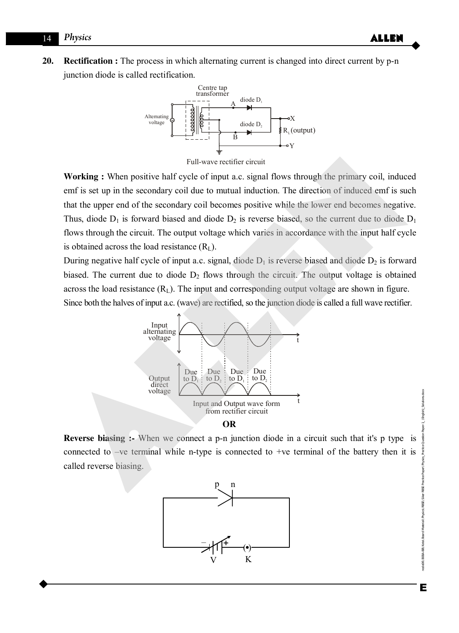#### 14 *Physics* **ALLEN**

**20. Rectification :** The process in which alternating current is changed into direct current by p-n junction diode is called rectification.



Full-wave rectifier circuit

**Working :** When positive half cycle of input a.c. signal flows through the primary coil, induced emf is set up in the secondary coil due to mutual induction. The direction of induced emf is such that the upper end of the secondary coil becomes positive while the lower end becomes negative. Thus, diode  $D_1$  is forward biased and diode  $D_2$  is reverse biased, so the current due to diode  $D_1$ flows through the circuit. The output voltage which varies in accordance with the input half cycle is obtained across the load resistance  $(R<sub>L</sub>)$ . Full-wave rectifier circuit<br>
Full-wave rectifier circuit<br>
em<sup>F</sup> is set up in the secondary coil due to mutual induction. The direction of induced em<sup>F</sup> is such<br>
that the upper end of the secondary coil due to mutual induc

During negative half cycle of input a.c. signal, diode  $D_1$  is reverse biased and diode  $D_2$  is forward biased. The current due to diode  $D_2$  flows through the circuit. The output voltage is obtained across the load resistance  $(R_L)$ . The input and corresponding output voltage are shown in figure. Since both the halves of input a.c. (wave) are rectified, so the junction diode is called a full wave rectifier.



**OR** 

**Reverse biasing :-** When we connect a p-n junction diode in a circuit such that it's p type is connected to –ve terminal while n-type is connected to +ve terminal of the battery then it is called reverse biasing.

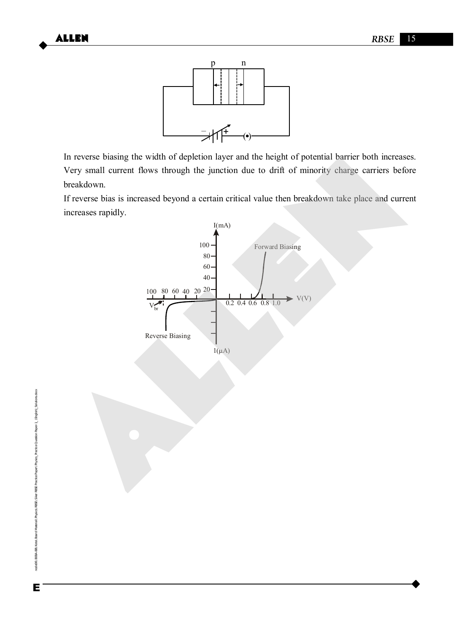

In reverse biasing the width of depletion layer and the height of potential barrier both increases. Very small current flows through the junction due to drift of minority charge carriers before breakdown.

If reverse bias is increased beyond a certain critical value then breakdown take place and current increases rapidly.